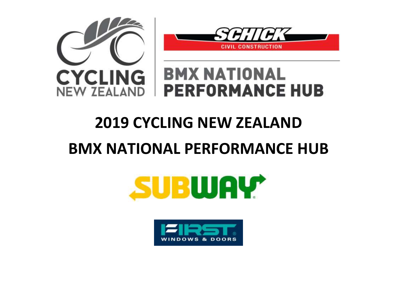



## **BMX NATIONAL PERFORMANCE HUB**

## **2019 CYCLING NEW ZEALAND**

## **BMX NATIONAL PERFORMANCE HUB**



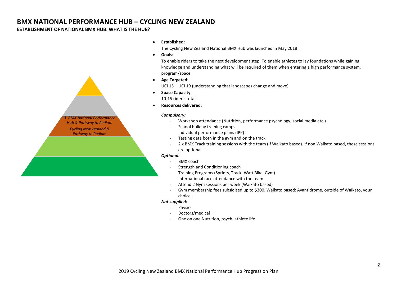#### **BMX NATIONAL PERFORMANCE HUB – CYCLING NEW ZEALAND**

#### **ESTABLISHMENT OF NATIONAL BMX HUB: WHAT IS THE HUB?**



#### **Established:**

The Cycling New Zealand National BMX Hub was launched in May 2018

**Goals:**

To enable riders to take the next development step. To enable athletes to lay foundations while gaining knowledge and understanding what will be required of them when entering a high performance system, program/space.

**Age Targeted:**

UCI 15 – UCI 19 (understanding that landscapes change and move)

**•** Space Capacity:

10-15 rider's total

**Resources delivered:**

#### *Compulsory:*

- Workshop attendance (Nutrition, performance psychology, social media etc.)
- School holiday training camps
- Individual performance plans (IPP)
- Testing data both in the gym and on the track
- 2 x BMX Track training sessions with the team (If Waikato based). If non Waikato based, these sessions are optional

#### *Optional:*

- BMX coach
- Strength and Conditioning coach
- Training Programs (Sprints, Track, Watt Bike, Gym)
- International race attendance with the team
- Attend 2 Gym sessions per week (Waikato based)
- Gym membership fees subsidised up to \$300. Waikato based: Avantidrome, outside of Waikato, your choice.

#### *Not supplied:*

- Physio
- Doctors/medical
- One on one Nutrition, psych, athlete life.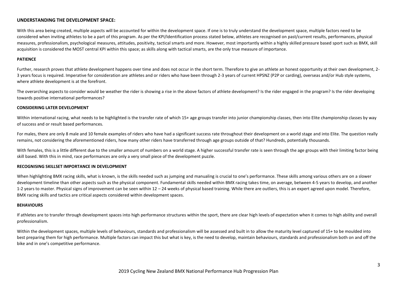#### **UNDERSTANDING THE DEVELOPMENT SPACE:**

With this area being created, multiple aspects will be accounted for within the development space. If one is to truly understand the development space, multiple factors need to be considered when inviting athletes to be a part of this program. As per the KPI/Identification process stated below, athletes are recognised on past/current results, performances, physical measures, professionalism, psychological measures, attitudes, positivity, tactical smarts and more. However, most importantly within a highly skilled pressure based sport such as BMX, skill acquisition is considered the MOST central KPI within this space; as skills along with tactical smarts, are the only true measure of importance.

#### **PATIENCE**

Further, research proves that athlete development happens over time and does not occur in the short term. Therefore to give an athlete an honest opportunity at their own development, 2-3 years focus is required. Imperative for consideration are athletes and or riders who have been through 2-3 years of current HPSNZ (P2P or carding), overseas and/or Hub style systems, where athlete development is at the forefront.

The overarching aspects to consider would be weather the rider is showing a rise in the above factors of athlete development? Is the rider engaged in the program? Is the rider developing towards positive international performances?

#### **CONSIDERING LATER DEVELOPMENT**

Within international racing, what needs to be highlighted is the transfer rate of which 15+ age groups transfer into junior championship classes, then into Elite championship classes by way of success and or result based performances.

For males, there are only 8 male and 10 female examples of riders who have had a significant success rate throughout their development on a world stage and into Elite. The question really remains, not considering the aforementioned riders, how many other riders have transferred through age groups outside of that? Hundreds, potentially thousands.

With females, this is a little different due to the smaller amount of numbers on a world stage. A higher successful transfer rate is seen through the age groups with their limiting factor being skill based. With this in mind, race performances are only a very small piece of the development puzzle.

#### **RECOGNISING SKILLSET IMPORTANCE IN DEVELOPMENT**

When highlighting BMX racing skills, what is known, is the skills needed such as jumping and manualing is crucial to one's performance. These skills among various others are on a slower development timeline than other aspects such as the physical component. Fundamental skills needed within BMX racing takes time, on average, between 4-5 years to develop, and another 1-2 years to master. Physical signs of improvement can be seen within 12 – 24 weeks of physical based training. While there are outliers, this is an expert agreed upon model. Therefore, BMX racing skills and tactics are critical aspects considered within development spaces.

#### **BEHAVIOURS**

If athletes are to transfer through development spaces into high performance structures within the sport, there are clear high levels of expectation when it comes to high ability and overall professionalism.

Within the development spaces, multiple levels of behaviours, standards and professionalism will be assessed and built in to allow the maturity level captured of 15+ to be moulded into best preparing them for high performance. Multiple factors can impact this but what is key, is the need to develop, maintain behaviours, standards and professionalism both on and off the bike and in one's competitive performance.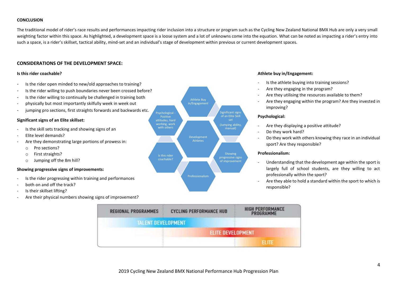#### **CONCLUSION**

The traditional model of rider's race results and performances impacting rider inclusion into a structure or program such as the Cycling New Zealand National BMX Hub are only a very small weighting factor within this space. As highlighted, a development space is a loose system and a lot of unknowns come into the equation. What can be noted as impacting a rider's entry into such a space, is a rider's skillset, tactical ability, mind-set and an individual's stage of development within previous or current development spaces.

#### **CONSIDERATIONS OF THE DEVELOPMENT SPACE:**

#### **Is this rider coachable?**

- Is the rider open minded to new/old approaches to training?
- Is the rider willing to push boundaries never been crossed before?
- Is the rider willing to continually be challenged in training both
- physically but most importantly skilfully week in week out
- jumping pro sections, first straights forwards and backwards etc.

#### **Significant signs of an Elite skillset:**

- Is the skill sets tracking and showing signs of an
- Elite level demands?
- Are they demonstrating large portions of prowess in:
	- o Pro sections?
	- o First straights?
	- o Jumping off the 8m hill?

#### **Showing progressive signs of improvements:**

- Is the rider progressing within training and performances
- both on and off the track?
- Is their skillset lifting?
- Are their physical numbers showing signs of improvement?



#### **Athlete buy in/Engagement:**

- Is the athlete buying into training sessions?
- Are they engaging in the program?
- Are they utilising the resources available to them?
- Are they engaging within the program? Are they invested in improving?

#### **Psychological:**

- Are they displaying a positive attitude?
- Do they work hard?
- Do they work with others knowing they race in an individual sport? Are they responsible?

#### **Professionalism:**

- Understanding that the development age within the sport is largely full of school students, are they willing to act professionally within the sport?
- Are they able to hold a standard within the sport to which is responsible?

| <b>REGIONAL PROGRAMMES</b> | <b>CYCLING PERFORMANCE HUB</b> | <b>HIGH PERFORMANCE</b><br>PROGRAMME |
|----------------------------|--------------------------------|--------------------------------------|
| <b>TALENT DEVELOPMENT</b>  |                                |                                      |
|                            | <b>ELITE DEVELOPMENT</b>       |                                      |
|                            |                                | ELITE                                |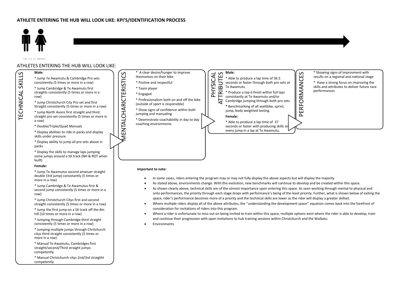

studies in the main Street of

TECHNICAL SKILLS

TECHNICAL

 $\sim$ 

SKILLS

#### ATHLETES ENTERING THE HUB WILL LOOK LIKE:



- Where a rider is unfortunate to miss out on being invited to train within this space, multiple options exist where the rider is able to develop, train and continue their progression with open invitations to hub training sessions within Christchurch and the Waikato.
- **Environments**

Straight consistently (5 times or more in a row)

straight pro set consistently (5 times or more in a row)

\* Double/Triple/Quad Manuals

\* Display abilities to ride in packs and display skills under pressure

\* Display ability to jump all pro sets above in packs

some jumps around a SX track (NH & ROT when built)

#### **Female:**

double (3rd jump) consistantly (5 times or more in a row)

second jump consistantly (5 times or more in a row)

straight consistently (5 times or more in a row)

hill (10 times or more in a row)

\* Jumping through Cambridge third straight consistently (5 times or more in a row)

\* Jumping multiple jumps through Chritchurch citys third straight consistently (5 times or more in a row)

\* Manual Te Awamutu, Cambridges first straight/second/Third straight jumps competently

\* Manual Christchurch citys 2nd/3rd straigtht competently



- In some cases, riders entering the program may or may not fully display the above aspects but will display the majority
- As stated above, environments change. With this evolution, new benchmarks will continue to develop and be created within this space.
- As shown clearly above, technical skills are of the utmost importance upon entering this space. As seen working through mental to physical and onto performances, the priority through each stage drops with performance's being of the least priority. Further, what is shown below of exiting the space, rider's performance becomes more of a priority and the technical skills are lower as the rider will display a greater skillset.
- Where multiple riders display all of the above attributes, the ''understanding the development space'' equation comes back into the forefront of
-